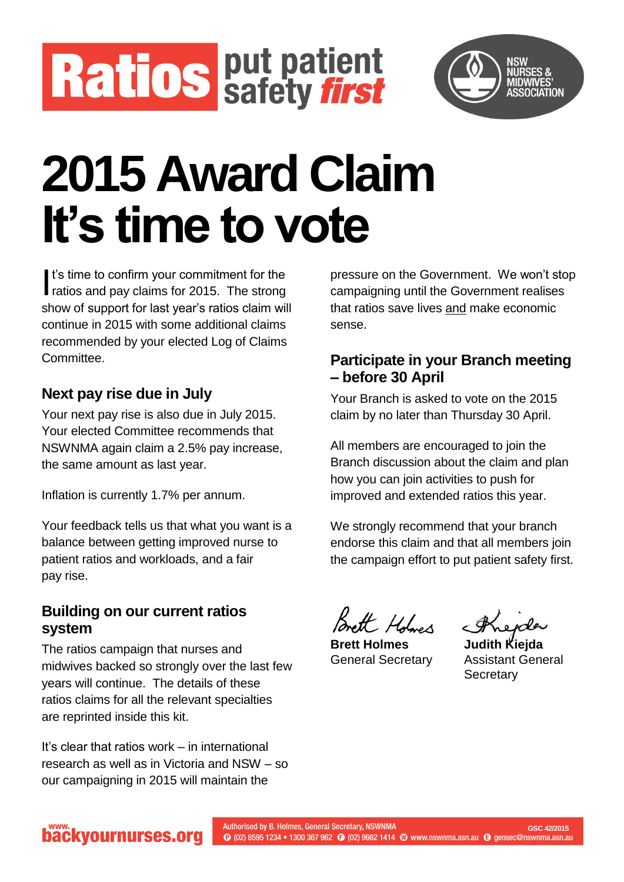



# **2015 Award Claim It's time to vote**

It's time to confirm your commitment for the t's time to confirm your commitment for the<br>ratios and pay claims for 2015. The strong show of support for last year's ratios claim will continue in 2015 with some additional claims recommended by your elected Log of Claims Committee.

#### **Next pay rise due in July**

Your next pay rise is also due in July 2015. Your elected Committee recommends that NSWNMA again claim a 2.5% pay increase, the same amount as last year.

Inflation is currently 1.7% per annum.

Your feedback tells us that what you want is a balance between getting improved nurse to patient ratios and workloads, and a fair pay rise.

#### **Building on our current ratios system**

The ratios campaign that nurses and midwives backed so strongly over the last few years will continue. The details of these ratios claims for all the relevant specialties are reprinted inside this kit.

It's clear that ratios work – in international research as well as in Victoria and NSW – so our campaigning in 2015 will maintain the

pressure on the Government. We won't stop campaigning until the Government realises that ratios save lives and make economic sense.

#### **Participate in your Branch meeting – before 30 April**

Your Branch is asked to vote on the 2015 claim by no later than Thursday 30 April.

All members are encouraged to join the Branch discussion about the claim and plan how you can join activities to push for improved and extended ratios this year.

We strongly recommend that your branch endorse this claim and that all members join the campaign effort to put patient safety first.

mett Holmes

**Brett Holmes Judith Kiejda**

General Secretary Assistant General **Secretary** 

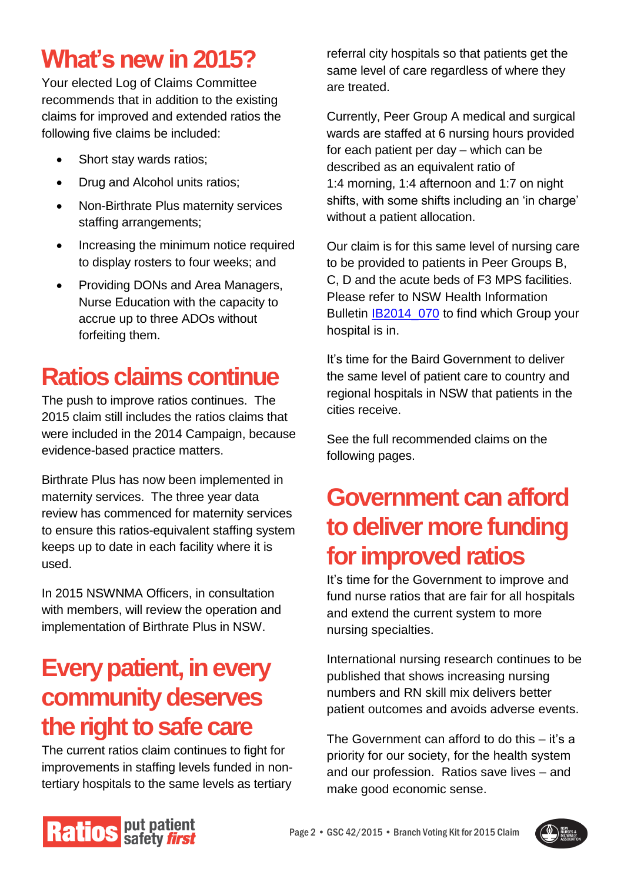## **What's new in 2015?**

Your elected Log of Claims Committee recommends that in addition to the existing claims for improved and extended ratios the following five claims be included:

- Short stay wards ratios;
- Drug and Alcohol units ratios;
- Non-Birthrate Plus maternity services staffing arrangements;
- Increasing the minimum notice required to display rosters to four weeks; and
- Providing DONs and Area Managers, Nurse Education with the capacity to accrue up to three ADOs without forfeiting them.

## **Ratios claims continue**

The push to improve ratios continues. The 2015 claim still includes the ratios claims that were included in the 2014 Campaign, because evidence-based practice matters.

Birthrate Plus has now been implemented in maternity services. The three year data review has commenced for maternity services to ensure this ratios-equivalent staffing system keeps up to date in each facility where it is used.

In 2015 NSWNMA Officers, in consultation with members, will review the operation and implementation of Birthrate Plus in NSW.

## **Every patient, in every community deserves the right to safe care**

The current ratios claim continues to fight for improvements in staffing levels funded in nontertiary hospitals to the same levels as tertiary referral city hospitals so that patients get the same level of care regardless of where they are treated.

Currently, Peer Group A medical and surgical wards are staffed at 6 nursing hours provided for each patient per day – which can be described as an equivalent ratio of 1:4 morning, 1:4 afternoon and 1:7 on night shifts, with some shifts including an 'in charge' without a patient allocation.

Our claim is for this same level of nursing care to be provided to patients in Peer Groups B, C, D and the acute beds of F3 MPS facilities. Please refer to NSW Health Information Bulletin **IB2014\_070** to find which Group your hospital is in.

It's time for the Baird Government to deliver the same level of patient care to country and regional hospitals in NSW that patients in the cities receive.

See the full recommended claims on the following pages.

## **Government can afford to deliver more funding for improved ratios**

It's time for the Government to improve and fund nurse ratios that are fair for all hospitals and extend the current system to more nursing specialties.

International nursing research continues to be published that shows increasing nursing numbers and RN skill mix delivers better patient outcomes and avoids adverse events.

The Government can afford to do this – it's a priority for our society, for the health system and our profession. Ratios save lives – and make good economic sense.



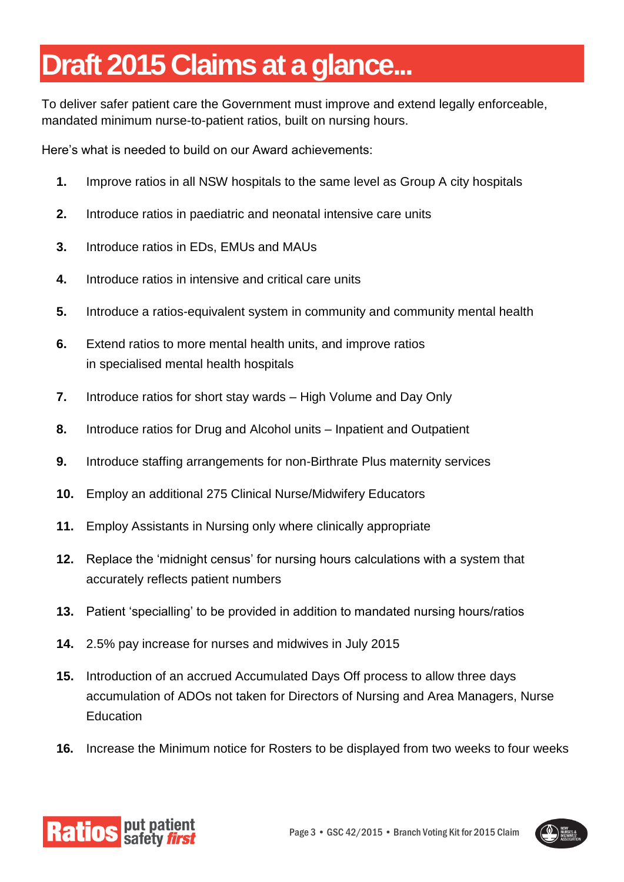## **Draft 2015 Claims at a glance...**

To deliver safer patient care the Government must improve and extend legally enforceable, mandated minimum nurse-to-patient ratios, built on nursing hours.

Here's what is needed to build on our Award achievements:

- **1.** Improve ratios in all NSW hospitals to the same level as Group A city hospitals
- **2.** Introduce ratios in paediatric and neonatal intensive care units
- **3.** Introduce ratios in EDs, EMUs and MAUs
- **4.** Introduce ratios in intensive and critical care units
- **5.** Introduce a ratios-equivalent system in community and community mental health
- **6.** Extend ratios to more mental health units, and improve ratios in specialised mental health hospitals
- **7.** Introduce ratios for short stay wards High Volume and Day Only
- **8.** Introduce ratios for Drug and Alcohol units Inpatient and Outpatient
- **9.** Introduce staffing arrangements for non-Birthrate Plus maternity services
- **10.** Employ an additional 275 Clinical Nurse/Midwifery Educators
- **11.** Employ Assistants in Nursing only where clinically appropriate
- **12.** Replace the 'midnight census' for nursing hours calculations with a system that accurately reflects patient numbers
- **13.** Patient 'specialling' to be provided in addition to mandated nursing hours/ratios
- **14.** 2.5% pay increase for nurses and midwives in July 2015
- **15.** Introduction of an accrued Accumulated Days Off process to allow three days accumulation of ADOs not taken for Directors of Nursing and Area Managers, Nurse Education
- **16.** Increase the Minimum notice for Rosters to be displayed from two weeks to four weeks



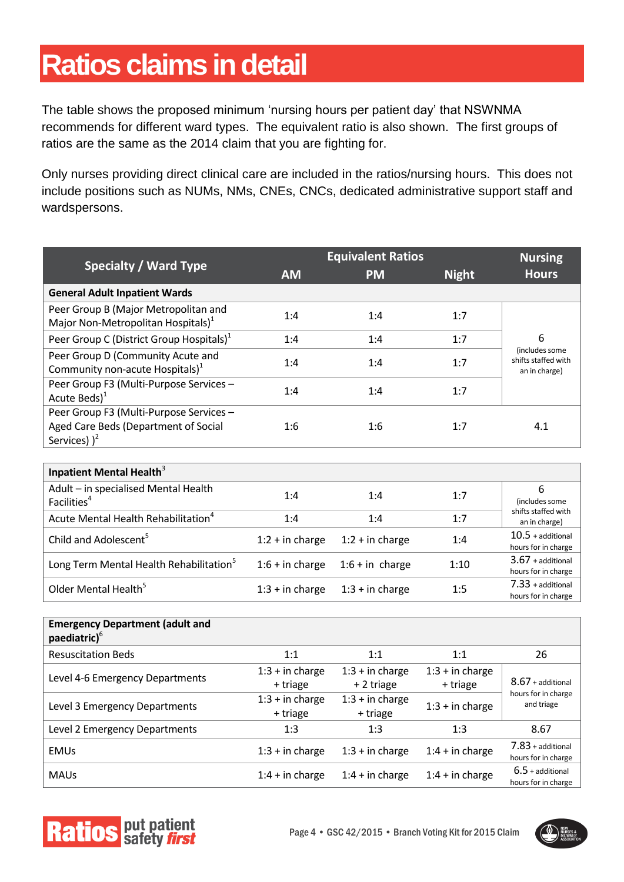## **Ratios claims in detail**

The table shows the proposed minimum 'nursing hours per patient day' that NSWNMA recommends for different ward types. The equivalent ratio is also shown. The first groups of ratios are the same as the 2014 claim that you are fighting for.

Only nurses providing direct clinical care are included in the ratios/nursing hours. This does not include positions such as NUMs, NMs, CNEs, CNCs, dedicated administrative support staff and wardspersons.

|                                                                                                    | <b>Equivalent Ratios</b> |                   |              | <b>Nursing</b>                                         |
|----------------------------------------------------------------------------------------------------|--------------------------|-------------------|--------------|--------------------------------------------------------|
| <b>Specialty / Ward Type</b>                                                                       | <b>AM</b>                | <b>PM</b>         | <b>Night</b> | <b>Hours</b>                                           |
| <b>General Adult Inpatient Wards</b>                                                               |                          |                   |              |                                                        |
| Peer Group B (Major Metropolitan and<br>Major Non-Metropolitan Hospitals) <sup>1</sup>             | 1:4                      | 1:4               | 1:7          |                                                        |
| Peer Group C (District Group Hospitals) <sup>1</sup>                                               | 1:4                      | 1:4               | 1:7          | 6                                                      |
| Peer Group D (Community Acute and<br>Community non-acute Hospitals) <sup>1</sup>                   | 1:4                      | 1:4               | 1:7          | (includes some<br>shifts staffed with<br>an in charge) |
| Peer Group F3 (Multi-Purpose Services -<br>Acute Beds $)^{1}$                                      | 1:4                      | 1:4               | 1:7          |                                                        |
| Peer Group F3 (Multi-Purpose Services -<br>Aged Care Beds (Department of Social<br>Services) $)^2$ | 1:6                      | 1:6               | 1:7          | 4.1                                                    |
| Inpatient Mental Health <sup>3</sup>                                                               |                          |                   |              |                                                        |
| Adult - in specialised Mental Health<br>Facilities <sup>4</sup>                                    | 1:4                      | 1:4               | 1:7          | 6<br>(includes some                                    |
| Acute Mental Health Rehabilitation <sup>4</sup>                                                    | 1:4                      | 1:4               | 1:7          | shifts staffed with<br>an in charge)                   |
| Child and Adolescent <sup>5</sup>                                                                  | $1:2 + in charge$        | $1:2 + in charge$ | 1:4          | $10.5 +$ additional<br>hours for in charge             |
| Long Term Mental Health Rehabilitation <sup>5</sup>                                                | $1:6 + in charge$        | $1:6 + in charge$ | 1:10         | $3.67 +$ additional<br>hours for in charge             |
| Older Mental Health <sup>5</sup>                                                                   | $1:3 + in charge$        | $1:3 + in charge$ | 1:5          | $7.33 + additional$<br>hours for in charge             |
| <b>Emergency Department (adult and</b><br>paediatric) <sup>6</sup>                                 |                          |                   |              |                                                        |

| paediatric) <sup>6</sup>        |                               |                                 |                               |                                                          |
|---------------------------------|-------------------------------|---------------------------------|-------------------------------|----------------------------------------------------------|
| <b>Resuscitation Beds</b>       | 1:1                           | 1:1                             | 1:1                           | 26                                                       |
| Level 4-6 Emergency Departments | $1:3 + in charge$<br>+ triage | $1:3 + in charge$<br>+ 2 triage | $1:3 + in charge$<br>+ triage | $8.67 +$ additional<br>hours for in charge<br>and triage |
| Level 3 Emergency Departments   | $1:3 + in charge$<br>+ triage | $1:3 + in charge$<br>+ triage   | $1:3 + in charge$             |                                                          |
| Level 2 Emergency Departments   | 1:3                           | 1:3                             | 1:3                           | 8.67                                                     |
| <b>EMUs</b>                     | $1:3 + in charge$             | $1:3 + in charge$               | $1:4 + in charge$             | $7.83 +$ additional<br>hours for in charge               |
| <b>MAUs</b>                     | $1:4 + in charge$             | $1:4 + in charge$               | $1:4 + in charge$             | $6.5 +$ additional<br>hours for in charge                |



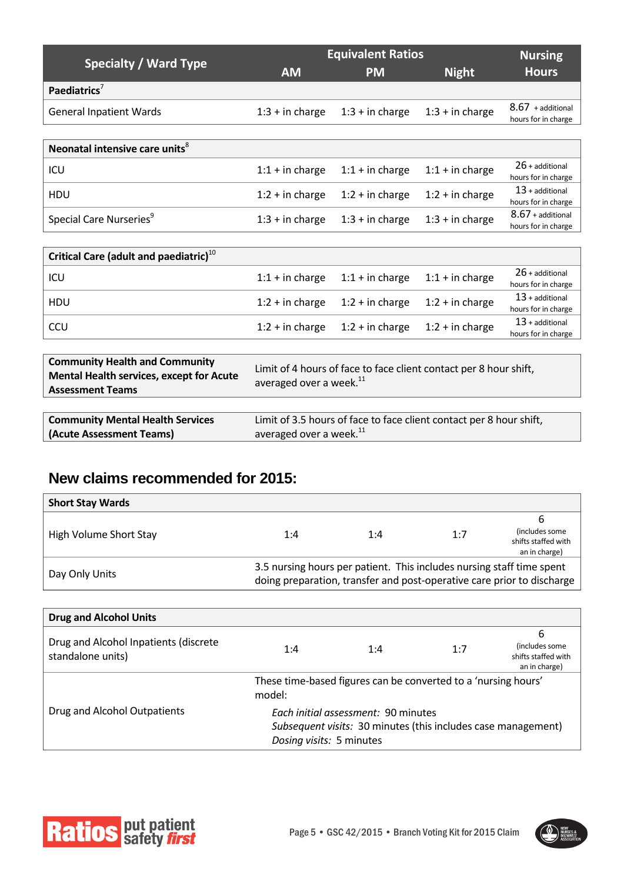| <b>Hours</b>                               |
|--------------------------------------------|
|                                            |
|                                            |
| $8.67 +$ additional<br>hours for in charge |
|                                            |
|                                            |
| $26 +$ additional<br>hours for in charge   |
| $13 +$ additional<br>hours for in charge   |
| $8.67$ + additional<br>hours for in charge |
|                                            |

| Critical Care (adult and paediatric) $^{10}$ |                   |                                                          |                   |                     |
|----------------------------------------------|-------------------|----------------------------------------------------------|-------------------|---------------------|
| ICU                                          |                   | $1:1 +$ in charge $1:1 +$ in charge<br>$1:1 + in charge$ |                   | $26 +$ additional   |
|                                              |                   |                                                          |                   | hours for in charge |
| <b>HDU</b>                                   |                   | $1:2 + in charge$ $1:2 + in charge$                      | $1:2 + in charge$ | $13$ + additional   |
|                                              |                   |                                                          |                   | hours for in charge |
| CCU                                          | $1:2 + in charge$ | $1:2 + in charge$                                        | $1:2 + in charge$ | $13$ + additional   |
|                                              |                   |                                                          |                   | hours for in charge |

| <b>Community Health and Community</b><br><b>Mental Health services, except for Acute</b><br><b>Assessment Teams</b> | Limit of 4 hours of face to face client contact per 8 hour shift,<br>averaged over a week. <sup>11</sup> |
|---------------------------------------------------------------------------------------------------------------------|----------------------------------------------------------------------------------------------------------|
|                                                                                                                     |                                                                                                          |
| <b>Community Mental Health Services</b>                                                                             | Limit of 3.5 hours of face to face client contact per 8 hour shift,                                      |
| (Acute Assessment Teams)                                                                                            | averaged over a week. <sup>11</sup>                                                                      |

#### **New claims recommended for 2015:**

| <b>Short Stay Wards</b> |                                                                       |     |     |                                                                        |
|-------------------------|-----------------------------------------------------------------------|-----|-----|------------------------------------------------------------------------|
|                         |                                                                       |     |     | b                                                                      |
| High Volume Short Stay  | 1:4                                                                   | 1:4 | 1:7 | (includes some)                                                        |
|                         |                                                                       |     |     | shifts staffed with<br>an in charge)                                   |
|                         |                                                                       |     |     |                                                                        |
| Day Only Units          | 3.5 nursing hours per patient. This includes nursing staff time spent |     |     | doing preparation, transfer and post-operative care prior to discharge |

| <b>Drug and Alcohol Units</b>                              |                                                                                                                                  |     |     |                                                             |
|------------------------------------------------------------|----------------------------------------------------------------------------------------------------------------------------------|-----|-----|-------------------------------------------------------------|
| Drug and Alcohol Inpatients (discrete<br>standalone units) | 1:4                                                                                                                              | 1:4 | 1:7 | 6<br>(includes some<br>shifts staffed with<br>an in charge) |
|                                                            | These time-based figures can be converted to a 'nursing hours'<br>model:                                                         |     |     |                                                             |
| Drug and Alcohol Outpatients                               | Each initial assessment: 90 minutes<br>Subsequent visits: 30 minutes (this includes case management)<br>Dosing visits: 5 minutes |     |     |                                                             |



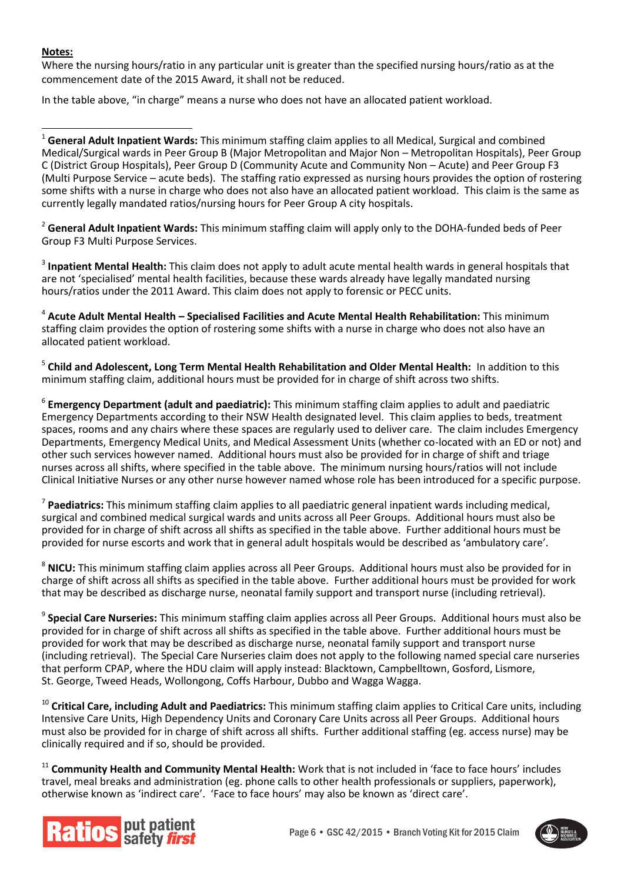#### **Notes:**

Where the nursing hours/ratio in any particular unit is greater than the specified nursing hours/ratio as at the commencement date of the 2015 Award, it shall not be reduced.

In the table above, "in charge" means a nurse who does not have an allocated patient workload.

-<sup>1</sup> **General Adult Inpatient Wards:** This minimum staffing claim applies to all Medical, Surgical and combined Medical/Surgical wards in Peer Group B (Major Metropolitan and Major Non – Metropolitan Hospitals), Peer Group C (District Group Hospitals), Peer Group D (Community Acute and Community Non – Acute) and Peer Group F3 (Multi Purpose Service – acute beds). The staffing ratio expressed as nursing hours provides the option of rostering some shifts with a nurse in charge who does not also have an allocated patient workload. This claim is the same as currently legally mandated ratios/nursing hours for Peer Group A city hospitals.

<sup>2</sup> **General Adult Inpatient Wards:** This minimum staffing claim will apply only to the DOHA-funded beds of Peer Group F3 Multi Purpose Services.

3 **Inpatient Mental Health:** This claim does not apply to adult acute mental health wards in general hospitals that are not 'specialised' mental health facilities, because these wards already have legally mandated nursing hours/ratios under the 2011 Award. This claim does not apply to forensic or PECC units.

4 **Acute Adult Mental Health – Specialised Facilities and Acute Mental Health Rehabilitation:** This minimum staffing claim provides the option of rostering some shifts with a nurse in charge who does not also have an allocated patient workload.

5 **Child and Adolescent, Long Term Mental Health Rehabilitation and Older Mental Health:** In addition to this minimum staffing claim, additional hours must be provided for in charge of shift across two shifts.

6 **Emergency Department (adult and paediatric):** This minimum staffing claim applies to adult and paediatric Emergency Departments according to their NSW Health designated level. This claim applies to beds, treatment spaces, rooms and any chairs where these spaces are regularly used to deliver care. The claim includes Emergency Departments, Emergency Medical Units, and Medical Assessment Units (whether co-located with an ED or not) and other such services however named. Additional hours must also be provided for in charge of shift and triage nurses across all shifts, where specified in the table above. The minimum nursing hours/ratios will not include Clinical Initiative Nurses or any other nurse however named whose role has been introduced for a specific purpose.

7 **Paediatrics:** This minimum staffing claim applies to all paediatric general inpatient wards including medical, surgical and combined medical surgical wards and units across all Peer Groups. Additional hours must also be provided for in charge of shift across all shifts as specified in the table above. Further additional hours must be provided for nurse escorts and work that in general adult hospitals would be described as 'ambulatory care'.

<sup>8</sup> **NICU:** This minimum staffing claim applies across all Peer Groups. Additional hours must also be provided for in charge of shift across all shifts as specified in the table above. Further additional hours must be provided for work that may be described as discharge nurse, neonatal family support and transport nurse (including retrieval).

9 **Special Care Nurseries:** This minimum staffing claim applies across all Peer Groups. Additional hours must also be provided for in charge of shift across all shifts as specified in the table above. Further additional hours must be provided for work that may be described as discharge nurse, neonatal family support and transport nurse (including retrieval). The Special Care Nurseries claim does not apply to the following named special care nurseries that perform CPAP, where the HDU claim will apply instead: Blacktown, Campbelltown, Gosford, Lismore, St. George, Tweed Heads, Wollongong, Coffs Harbour, Dubbo and Wagga Wagga.

<sup>10</sup> Critical Care, including Adult and Paediatrics: This minimum staffing claim applies to Critical Care units, including Intensive Care Units, High Dependency Units and Coronary Care Units across all Peer Groups. Additional hours must also be provided for in charge of shift across all shifts. Further additional staffing (eg. access nurse) may be clinically required and if so, should be provided.

<sup>11</sup> Community Health and Community Mental Health: Work that is not included in 'face to face hours' includes travel, meal breaks and administration (eg. phone calls to other health professionals or suppliers, paperwork), otherwise known as 'indirect care'. 'Face to face hours' may also be known as 'direct care'.



Page 6 • GSC 42/2015 • Branch Voting Kit for 2015 Claim

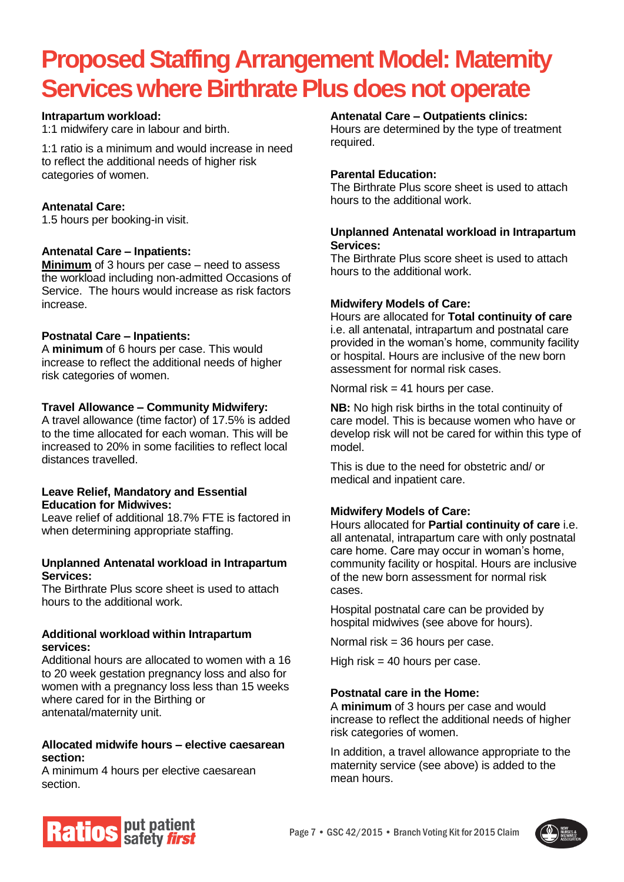## **Proposed Staffing Arrangement Model: Maternity Services where Birthrate Plus does not operate**

#### **Intrapartum workload:**

1:1 midwifery care in labour and birth.

1:1 ratio is a minimum and would increase in need to reflect the additional needs of higher risk categories of women.

#### **Antenatal Care:**

1.5 hours per booking-in visit.

#### **Antenatal Care – Inpatients:**

**Minimum** of 3 hours per case – need to assess the workload including non-admitted Occasions of Service. The hours would increase as risk factors increase.

#### **Postnatal Care – Inpatients:**

A **minimum** of 6 hours per case. This would increase to reflect the additional needs of higher risk categories of women.

#### **Travel Allowance – Community Midwifery:**

A travel allowance (time factor) of 17.5% is added to the time allocated for each woman. This will be increased to 20% in some facilities to reflect local distances travelled.

#### **Leave Relief, Mandatory and Essential Education for Midwives:**

Leave relief of additional 18.7% FTE is factored in when determining appropriate staffing.

#### **Unplanned Antenatal workload in Intrapartum Services:**

The Birthrate Plus score sheet is used to attach hours to the additional work.

#### **Additional workload within Intrapartum services:**

Additional hours are allocated to women with a 16 to 20 week gestation pregnancy loss and also for women with a pregnancy loss less than 15 weeks where cared for in the Birthing or antenatal/maternity unit.

#### **Allocated midwife hours – elective caesarean section:**

A minimum 4 hours per elective caesarean section.

#### **Antenatal Care – Outpatients clinics:**

Hours are determined by the type of treatment required.

#### **Parental Education:**

The Birthrate Plus score sheet is used to attach hours to the additional work.

#### **Unplanned Antenatal workload in Intrapartum Services:**

The Birthrate Plus score sheet is used to attach hours to the additional work.

#### **Midwifery Models of Care:**

Hours are allocated for **Total continuity of care** i.e. all antenatal, intrapartum and postnatal care provided in the woman's home, community facility or hospital. Hours are inclusive of the new born assessment for normal risk cases.

Normal risk  $= 41$  hours per case.

**NB:** No high risk births in the total continuity of care model. This is because women who have or develop risk will not be cared for within this type of model.

This is due to the need for obstetric and/ or medical and inpatient care.

#### **Midwifery Models of Care:**

Hours allocated for **Partial continuity of care** i.e. all antenatal, intrapartum care with only postnatal care home. Care may occur in woman's home, community facility or hospital. Hours are inclusive of the new born assessment for normal risk cases.

Hospital postnatal care can be provided by hospital midwives (see above for hours).

Normal risk  $=$  36 hours per case.

High risk  $=$  40 hours per case.

#### **Postnatal care in the Home:**

A **minimum** of 3 hours per case and would increase to reflect the additional needs of higher risk categories of women.

In addition, a travel allowance appropriate to the maternity service (see above) is added to the mean hours.



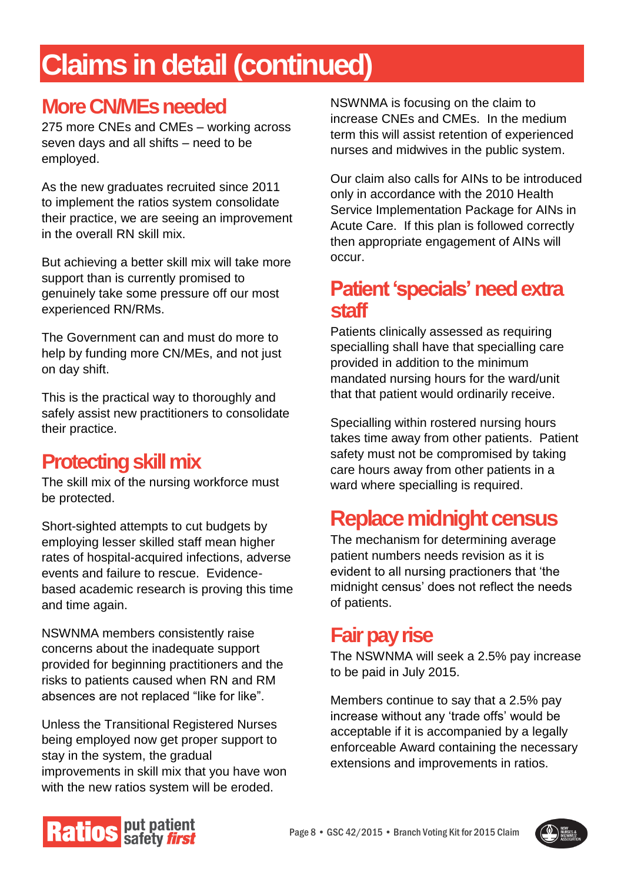## **Claims in detail (continued)**

## **More CN/MEs needed**

275 more CNEs and CMEs – working across seven days and all shifts – need to be employed.

As the new graduates recruited since 2011 to implement the ratios system consolidate their practice, we are seeing an improvement in the overall RN skill mix.

But achieving a better skill mix will take more support than is currently promised to genuinely take some pressure off our most experienced RN/RMs.

The Government can and must do more to help by funding more CN/MEs, and not just on day shift.

This is the practical way to thoroughly and safely assist new practitioners to consolidate their practice.

## **Protecting skill mix**

The skill mix of the nursing workforce must be protected.

Short-sighted attempts to cut budgets by employing lesser skilled staff mean higher rates of hospital-acquired infections, adverse events and failure to rescue. Evidencebased academic research is proving this time and time again.

NSWNMA members consistently raise concerns about the inadequate support provided for beginning practitioners and the risks to patients caused when RN and RM absences are not replaced "like for like".

Unless the Transitional Registered Nurses being employed now get proper support to stay in the system, the gradual improvements in skill mix that you have won with the new ratios system will be eroded.

NSWNMA is focusing on the claim to increase CNEs and CMEs. In the medium term this will assist retention of experienced nurses and midwives in the public system.

Our claim also calls for AINs to be introduced only in accordance with the 2010 Health Service Implementation Package for AINs in Acute Care. If this plan is followed correctly then appropriate engagement of AINs will occur.

#### **Patient 'specials'need extra staff**

Patients clinically assessed as requiring specialling shall have that specialling care provided in addition to the minimum mandated nursing hours for the ward/unit that that patient would ordinarily receive.

Specialling within rostered nursing hours takes time away from other patients. Patient safety must not be compromised by taking care hours away from other patients in a ward where specialling is required.

## **Replace midnight census**

The mechanism for determining average patient numbers needs revision as it is evident to all nursing practioners that 'the midnight census' does not reflect the needs of patients.

### **Fair pay rise**

The NSWNMA will seek a 2.5% pay increase to be paid in July 2015.

Members continue to say that a 2.5% pay increase without any 'trade offs' would be acceptable if it is accompanied by a legally enforceable Award containing the necessary extensions and improvements in ratios.



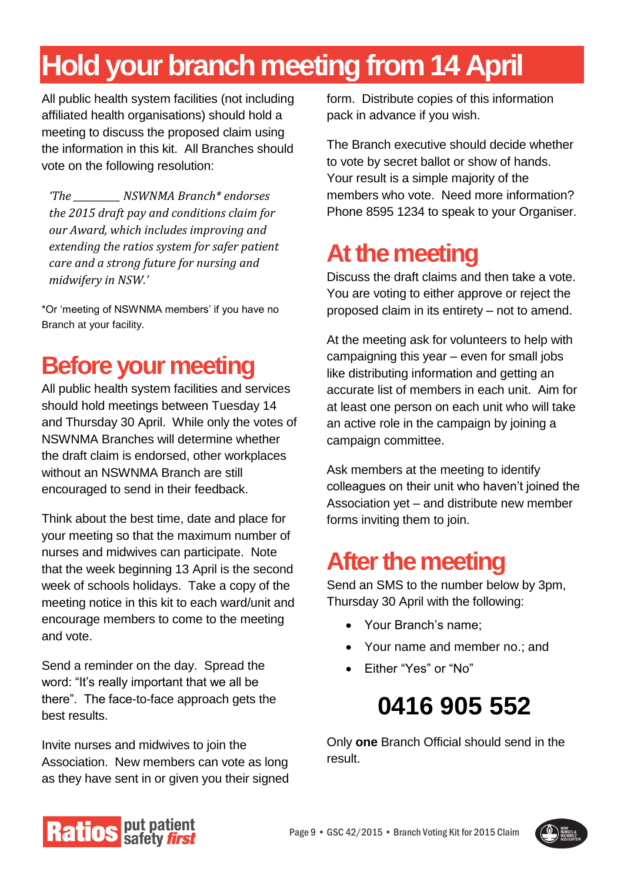## **Hold your branch meeting from 14 April**

All public health system facilities (not including affiliated health organisations) should hold a meeting to discuss the proposed claim using the information in this kit. All Branches should vote on the following resolution:

*'The \_\_\_\_\_\_\_\_\_\_ NSWNMA Branch\* endorses the 2015 draft pay and conditions claim for our Award, which includes improving and extending the ratios system for safer patient care and a strong future for nursing and midwifery in NSW.'*

\*Or 'meeting of NSWNMA members' if you have no Branch at your facility.

## **Before your meeting**

All public health system facilities and services should hold meetings between Tuesday 14 and Thursday 30 April. While only the votes of NSWNMA Branches will determine whether the draft claim is endorsed, other workplaces without an NSWNMA Branch are still encouraged to send in their feedback.

Think about the best time, date and place for your meeting so that the maximum number of nurses and midwives can participate. Note that the week beginning 13 April is the second week of schools holidays. Take a copy of the meeting notice in this kit to each ward/unit and encourage members to come to the meeting and vote.

Send a reminder on the day. Spread the word: "It's really important that we all be there". The face-to-face approach gets the best results.

Invite nurses and midwives to join the Association. New members can vote as long as they have sent in or given you their signed form. Distribute copies of this information pack in advance if you wish.

The Branch executive should decide whether to vote by secret ballot or show of hands. Your result is a simple majority of the members who vote. Need more information? Phone 8595 1234 to speak to your Organiser.

## **At the meeting**

Discuss the draft claims and then take a vote. You are voting to either approve or reject the proposed claim in its entirety – not to amend.

At the meeting ask for volunteers to help with campaigning this year – even for small jobs like distributing information and getting an accurate list of members in each unit. Aim for at least one person on each unit who will take an active role in the campaign by joining a campaign committee.

Ask members at the meeting to identify colleagues on their unit who haven't joined the Association yet – and distribute new member forms inviting them to join.

## **After the meeting**

Send an SMS to the number below by 3pm, Thursday 30 April with the following:

- Your Branch's name:
- Your name and member no.; and
- Either "Yes" or "No"

## **0416 905 552**

Only **one** Branch Official should send in the result.